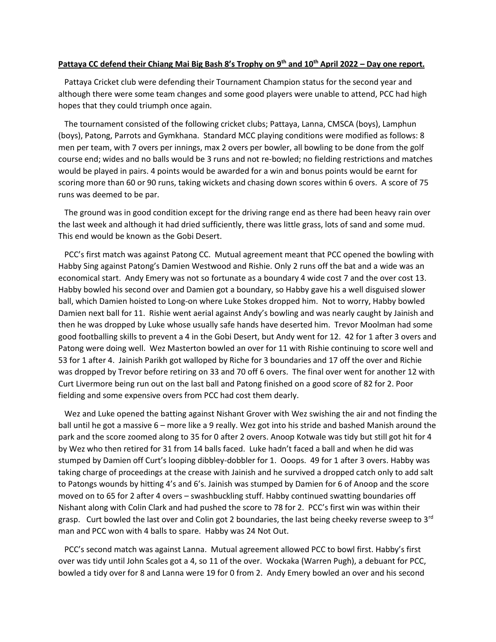## **Pattaya CC defend their Chiang Mai Big Bash 8's Trophy on 9th and 10th April 2022 – Day one report.**

 Pattaya Cricket club were defending their Tournament Champion status for the second year and although there were some team changes and some good players were unable to attend, PCC had high hopes that they could triumph once again.

 The tournament consisted of the following cricket clubs; Pattaya, Lanna, CMSCA (boys), Lamphun (boys), Patong, Parrots and Gymkhana. Standard MCC playing conditions were modified as follows: 8 men per team, with 7 overs per innings, max 2 overs per bowler, all bowling to be done from the golf course end; wides and no balls would be 3 runs and not re-bowled; no fielding restrictions and matches would be played in pairs. 4 points would be awarded for a win and bonus points would be earnt for scoring more than 60 or 90 runs, taking wickets and chasing down scores within 6 overs. A score of 75 runs was deemed to be par.

 The ground was in good condition except for the driving range end as there had been heavy rain over the last week and although it had dried sufficiently, there was little grass, lots of sand and some mud. This end would be known as the Gobi Desert.

 PCC's first match was against Patong CC. Mutual agreement meant that PCC opened the bowling with Habby Sing against Patong's Damien Westwood and Rishie. Only 2 runs off the bat and a wide was an economical start. Andy Emery was not so fortunate as a boundary 4 wide cost 7 and the over cost 13. Habby bowled his second over and Damien got a boundary, so Habby gave his a well disguised slower ball, which Damien hoisted to Long-on where Luke Stokes dropped him. Not to worry, Habby bowled Damien next ball for 11. Rishie went aerial against Andy's bowling and was nearly caught by Jainish and then he was dropped by Luke whose usually safe hands have deserted him. Trevor Moolman had some good footballing skills to prevent a 4 in the Gobi Desert, but Andy went for 12. 42 for 1 after 3 overs and Patong were doing well. Wez Masterton bowled an over for 11 with Rishie continuing to score well and 53 for 1 after 4. Jainish Parikh got walloped by Riche for 3 boundaries and 17 off the over and Richie was dropped by Trevor before retiring on 33 and 70 off 6 overs. The final over went for another 12 with Curt Livermore being run out on the last ball and Patong finished on a good score of 82 for 2. Poor fielding and some expensive overs from PCC had cost them dearly.

 Wez and Luke opened the batting against Nishant Grover with Wez swishing the air and not finding the ball until he got a massive 6 – more like a 9 really. Wez got into his stride and bashed Manish around the park and the score zoomed along to 35 for 0 after 2 overs. Anoop Kotwale was tidy but still got hit for 4 by Wez who then retired for 31 from 14 balls faced. Luke hadn't faced a ball and when he did was stumped by Damien off Curt's looping dibbley-dobbler for 1. Ooops. 49 for 1 after 3 overs. Habby was taking charge of proceedings at the crease with Jainish and he survived a dropped catch only to add salt to Patongs wounds by hitting 4's and 6's. Jainish was stumped by Damien for 6 of Anoop and the score moved on to 65 for 2 after 4 overs – swashbuckling stuff. Habby continued swatting boundaries off Nishant along with Colin Clark and had pushed the score to 78 for 2. PCC's first win was within their grasp. Curt bowled the last over and Colin got 2 boundaries, the last being cheeky reverse sweep to  $3<sup>rd</sup>$ man and PCC won with 4 balls to spare. Habby was 24 Not Out.

 PCC's second match was against Lanna. Mutual agreement allowed PCC to bowl first. Habby's first over was tidy until John Scales got a 4, so 11 of the over. Wockaka (Warren Pugh), a debuant for PCC, bowled a tidy over for 8 and Lanna were 19 for 0 from 2. Andy Emery bowled an over and his second